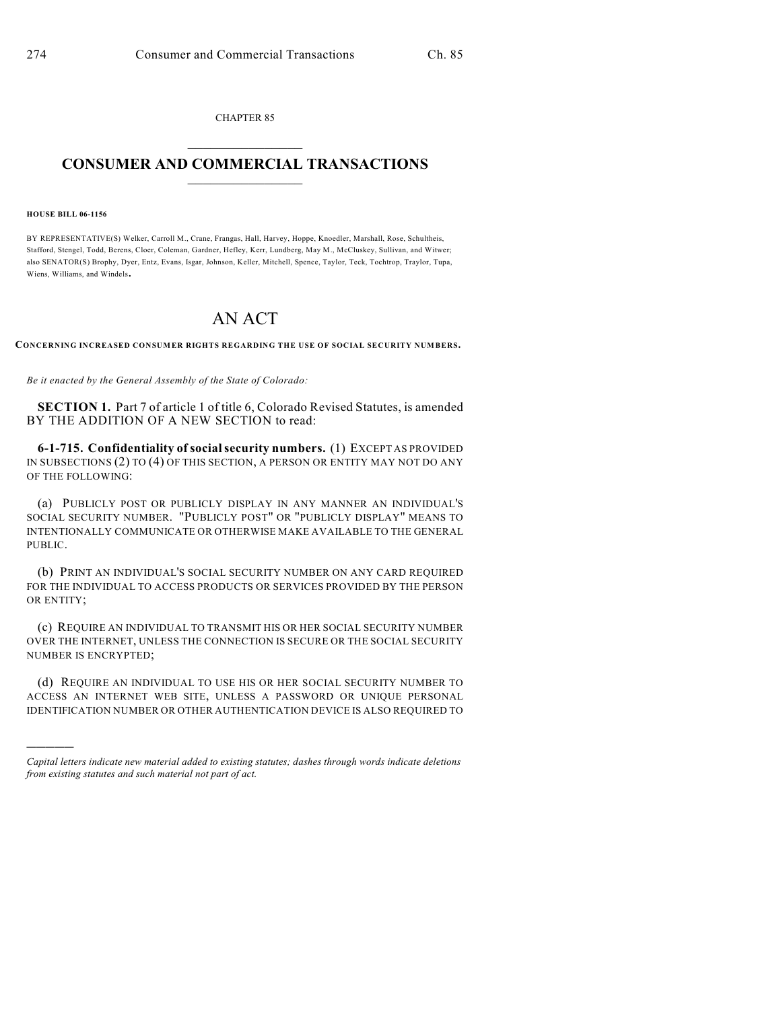CHAPTER 85  $\mathcal{L}_\text{max}$  . The set of the set of the set of the set of the set of the set of the set of the set of the set of the set of the set of the set of the set of the set of the set of the set of the set of the set of the set

## **CONSUMER AND COMMERCIAL TRANSACTIONS**  $\frac{1}{2}$  ,  $\frac{1}{2}$  ,  $\frac{1}{2}$  ,  $\frac{1}{2}$  ,  $\frac{1}{2}$  ,  $\frac{1}{2}$

**HOUSE BILL 06-1156**

)))))

BY REPRESENTATIVE(S) Welker, Carroll M., Crane, Frangas, Hall, Harvey, Hoppe, Knoedler, Marshall, Rose, Schultheis, Stafford, Stengel, Todd, Berens, Cloer, Coleman, Gardner, Hefley, Kerr, Lundberg, May M., McCluskey, Sullivan, and Witwer; also SENATOR(S) Brophy, Dyer, Entz, Evans, Isgar, Johnson, Keller, Mitchell, Spence, Taylor, Teck, Tochtrop, Traylor, Tupa, Wiens, Williams, and Windels.

## AN ACT

**CONCERNING INCREASED CONSUMER RIGHTS REGARDING THE USE OF SOCIAL SECURITY NUMBERS.**

*Be it enacted by the General Assembly of the State of Colorado:*

**SECTION 1.** Part 7 of article 1 of title 6, Colorado Revised Statutes, is amended BY THE ADDITION OF A NEW SECTION to read:

**6-1-715. Confidentiality of social security numbers.** (1) EXCEPT AS PROVIDED IN SUBSECTIONS (2) TO (4) OF THIS SECTION, A PERSON OR ENTITY MAY NOT DO ANY OF THE FOLLOWING:

(a) PUBLICLY POST OR PUBLICLY DISPLAY IN ANY MANNER AN INDIVIDUAL'S SOCIAL SECURITY NUMBER. "PUBLICLY POST" OR "PUBLICLY DISPLAY" MEANS TO INTENTIONALLY COMMUNICATE OR OTHERWISE MAKE AVAILABLE TO THE GENERAL PUBLIC.

(b) PRINT AN INDIVIDUAL'S SOCIAL SECURITY NUMBER ON ANY CARD REQUIRED FOR THE INDIVIDUAL TO ACCESS PRODUCTS OR SERVICES PROVIDED BY THE PERSON OR ENTITY;

(c) REQUIRE AN INDIVIDUAL TO TRANSMIT HIS OR HER SOCIAL SECURITY NUMBER OVER THE INTERNET, UNLESS THE CONNECTION IS SECURE OR THE SOCIAL SECURITY NUMBER IS ENCRYPTED;

(d) REQUIRE AN INDIVIDUAL TO USE HIS OR HER SOCIAL SECURITY NUMBER TO ACCESS AN INTERNET WEB SITE, UNLESS A PASSWORD OR UNIQUE PERSONAL IDENTIFICATION NUMBER OR OTHER AUTHENTICATION DEVICE IS ALSO REQUIRED TO

*Capital letters indicate new material added to existing statutes; dashes through words indicate deletions from existing statutes and such material not part of act.*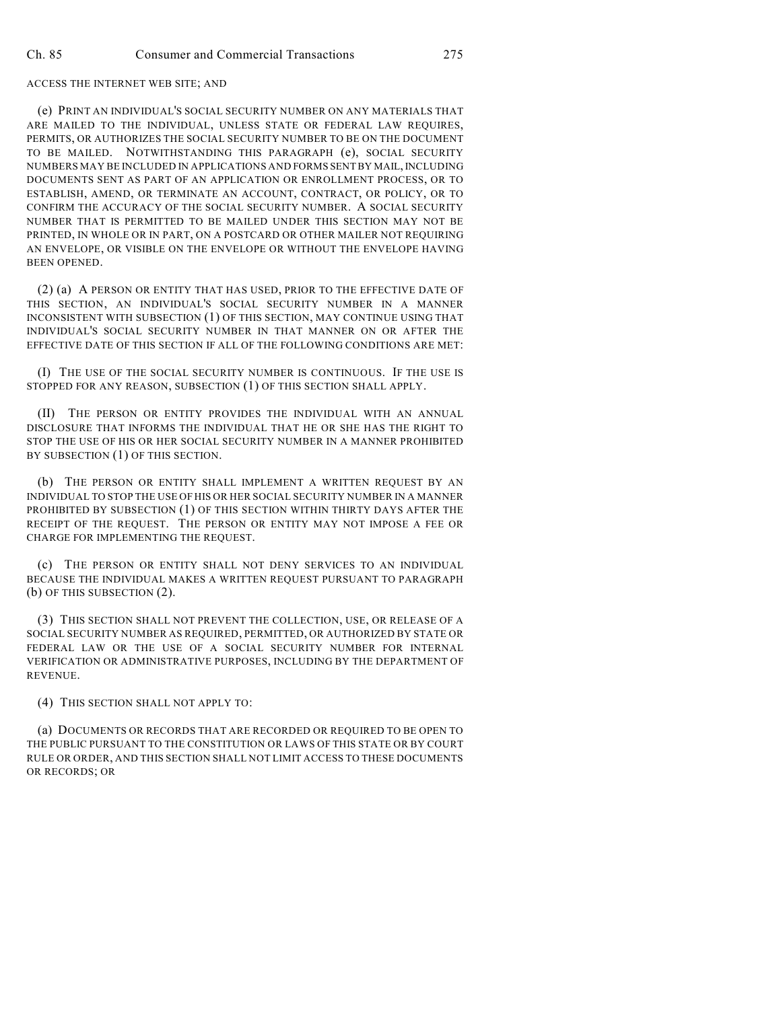## ACCESS THE INTERNET WEB SITE; AND

(e) PRINT AN INDIVIDUAL'S SOCIAL SECURITY NUMBER ON ANY MATERIALS THAT ARE MAILED TO THE INDIVIDUAL, UNLESS STATE OR FEDERAL LAW REQUIRES, PERMITS, OR AUTHORIZES THE SOCIAL SECURITY NUMBER TO BE ON THE DOCUMENT TO BE MAILED. NOTWITHSTANDING THIS PARAGRAPH (e), SOCIAL SECURITY NUMBERS MAY BE INCLUDED IN APPLICATIONS AND FORMS SENT BY MAIL, INCLUDING DOCUMENTS SENT AS PART OF AN APPLICATION OR ENROLLMENT PROCESS, OR TO ESTABLISH, AMEND, OR TERMINATE AN ACCOUNT, CONTRACT, OR POLICY, OR TO CONFIRM THE ACCURACY OF THE SOCIAL SECURITY NUMBER. A SOCIAL SECURITY NUMBER THAT IS PERMITTED TO BE MAILED UNDER THIS SECTION MAY NOT BE PRINTED, IN WHOLE OR IN PART, ON A POSTCARD OR OTHER MAILER NOT REQUIRING AN ENVELOPE, OR VISIBLE ON THE ENVELOPE OR WITHOUT THE ENVELOPE HAVING BEEN OPENED.

(2) (a) A PERSON OR ENTITY THAT HAS USED, PRIOR TO THE EFFECTIVE DATE OF THIS SECTION, AN INDIVIDUAL'S SOCIAL SECURITY NUMBER IN A MANNER INCONSISTENT WITH SUBSECTION (1) OF THIS SECTION, MAY CONTINUE USING THAT INDIVIDUAL'S SOCIAL SECURITY NUMBER IN THAT MANNER ON OR AFTER THE EFFECTIVE DATE OF THIS SECTION IF ALL OF THE FOLLOWING CONDITIONS ARE MET:

(I) THE USE OF THE SOCIAL SECURITY NUMBER IS CONTINUOUS. IF THE USE IS STOPPED FOR ANY REASON, SUBSECTION (1) OF THIS SECTION SHALL APPLY.

(II) THE PERSON OR ENTITY PROVIDES THE INDIVIDUAL WITH AN ANNUAL DISCLOSURE THAT INFORMS THE INDIVIDUAL THAT HE OR SHE HAS THE RIGHT TO STOP THE USE OF HIS OR HER SOCIAL SECURITY NUMBER IN A MANNER PROHIBITED BY SUBSECTION (1) OF THIS SECTION.

(b) THE PERSON OR ENTITY SHALL IMPLEMENT A WRITTEN REQUEST BY AN INDIVIDUAL TO STOP THE USE OF HIS OR HER SOCIAL SECURITY NUMBER IN A MANNER PROHIBITED BY SUBSECTION (1) OF THIS SECTION WITHIN THIRTY DAYS AFTER THE RECEIPT OF THE REQUEST. THE PERSON OR ENTITY MAY NOT IMPOSE A FEE OR CHARGE FOR IMPLEMENTING THE REQUEST.

(c) THE PERSON OR ENTITY SHALL NOT DENY SERVICES TO AN INDIVIDUAL BECAUSE THE INDIVIDUAL MAKES A WRITTEN REQUEST PURSUANT TO PARAGRAPH (b) OF THIS SUBSECTION (2).

(3) THIS SECTION SHALL NOT PREVENT THE COLLECTION, USE, OR RELEASE OF A SOCIAL SECURITY NUMBER AS REQUIRED, PERMITTED, OR AUTHORIZED BY STATE OR FEDERAL LAW OR THE USE OF A SOCIAL SECURITY NUMBER FOR INTERNAL VERIFICATION OR ADMINISTRATIVE PURPOSES, INCLUDING BY THE DEPARTMENT OF REVENUE.

(4) THIS SECTION SHALL NOT APPLY TO:

(a) DOCUMENTS OR RECORDS THAT ARE RECORDED OR REQUIRED TO BE OPEN TO THE PUBLIC PURSUANT TO THE CONSTITUTION OR LAWS OF THIS STATE OR BY COURT RULE OR ORDER, AND THIS SECTION SHALL NOT LIMIT ACCESS TO THESE DOCUMENTS OR RECORDS; OR